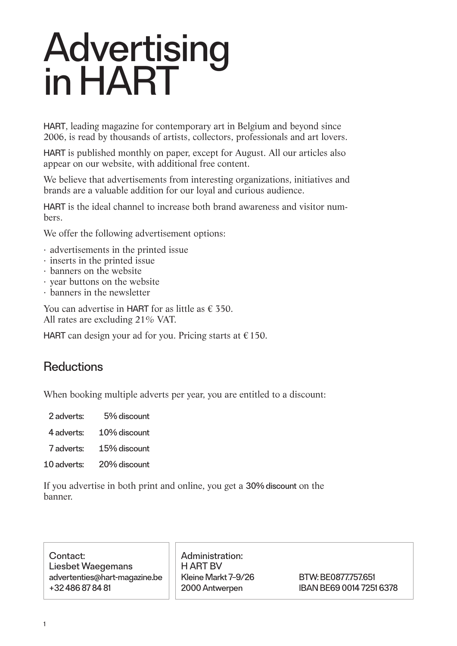# **Advertising** in HART

HART, leading magazine for contemporary art in Belgium and beyond since 2006, is read by thousands of artists, collectors, professionals and art lovers.

HART is published monthly on paper, except for August. All our articles also appear on our website, with additional free content.

We believe that advertisements from interesting organizations, initiatives and brands are a valuable addition for our loyal and curious audience.

HART is the ideal channel to increase both brand awareness and visitor numbers.

We offer the following advertisement options:

- · advertisements in the printed issue
- · inserts in the printed issue
- · banners on the website
- · year buttons on the website
- · banners in the newsletter

You can advertise in HART for as little as  $f$  350. All rates are excluding 21% VAT.

HART can design your ad for you. Pricing starts at  $\epsilon$  150.

### **Reductions**

When booking multiple adverts per year, you are entitled to a discount:

 2 adverts:  5% discount

- 4 adverts: 10% discount
- 7 adverts: 15% discount
- 10 adverts: 20% discount

If you advertise in both print and online, you get a 30% discount on the banner.

Contact: Liesbet Waegemans advertenties@hart-magazine.be +32 486 87 84 81

Administration: H ART BV Kleine Markt 7–9/26 2000 Antwerpen

BTW: BE0877.757.651 IBAN BE69 0014 7251 6378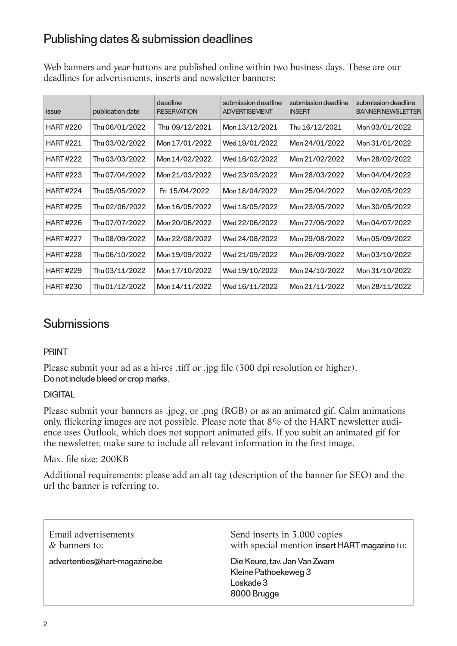### Publishing dates & submission deadlines

Web banners and year buttons are published online within two business days. These are our deadlines for advertisments, inserts and newsletter banners:

| issue           | publication date | deadline<br><b>RESERVATION</b> | submission deadline<br><b>ADVERTISEMENT</b> | submission deadline<br><b>INSERT</b> | submission deadline<br><b>BANNER NEWSLETTER</b> |
|-----------------|------------------|--------------------------------|---------------------------------------------|--------------------------------------|-------------------------------------------------|
| <b>HART#220</b> | Thu 06/01/2022   | Thu 09/12/2021                 | Mon 13/12/2021                              | Thu 16/12/2021                       | Mon 03/01/2022                                  |
| <b>HART#221</b> | Thu 03/02/2022   | Mon 17/01/2022                 | Wed 19/01/2022                              | Mon 24/01/2022                       | Mon 31/01/2022                                  |
| <b>HART#222</b> | Thu 03/03/2022   | Mon 14/02/2022                 | Wed 16/02/2022                              | Mon 21/02/2022                       | Mon 28/02/2022                                  |
| <b>HART#223</b> | Thu 07/04/2022   | Mon 21/03/2022                 | Wed 23/03/2022                              | Mon 28/03/2022                       | Mon 04/04/2022                                  |
| <b>HART#224</b> | Thu 05/05/2022   | Fri 15/04/2022                 | Mon 18/04/2022                              | Mon 25/04/2022                       | Mon 02/05/2022                                  |
| <b>HART#225</b> | Thu 02/06/2022   | Mon 16/05/2022                 | Wed 18/05/2022                              | Mon 23/05/2022                       | Mon 30/05/2022                                  |
| <b>HART#226</b> | Thu 07/07/2022   | Mon 20/06/2022                 | Wed 22/06/2022                              | Mon 27/06/2022                       | Mon 04/07/2022                                  |
| <b>HART#227</b> | Thu 08/09/2022   | Mon 22/08/2022                 | Wed 24/08/2022                              | Mon 29/08/2022                       | Mon 05/09/2022                                  |
| <b>HART#228</b> | Thu 06/10/2022   | Mon 19/09/2022                 | Wed 21/09/2022                              | Mon 26/09/2022                       | Mon 03/10/2022                                  |
| <b>HART#229</b> | Thu 03/11/2022   | Mon 17/10/2022                 | Wed 19/10/2022                              | Mon 24/10/2022                       | Mon 31/10/2022                                  |
| <b>HART#230</b> | Thu 01/12/2022   | Mon 14/11/2022                 | Wed 16/11/2022                              | Mon 21/11/2022                       | Mon 28/11/2022                                  |

### Submissions

#### PRINT

Please submit your ad as a hi-res .tiff or .jpg file (300 dpi resolution or higher). Do not include bleed or crop marks.

#### **DIGITAL**

Please submit your banners as .jpeg, or .png (RGB) or as an animated gif. Calm animations only, flickering images are not possible. Please note that 8% of the HART newsletter audience uses Outlook, which does not support animated gifs. If you subit an animated gif for the newsletter, make sure to include all relevant information in the first image.

#### Max. file size: 200KB

Additional requirements: please add an alt tag (description of the banner for SEO) and the url the banner is referring to.

| Email advertisements          | Send inserts in 3.000 copies                                                     |
|-------------------------------|----------------------------------------------------------------------------------|
| & banners to:                 | with special mention insert HART magazine to:                                    |
| advertenties@hart-magazine.be | Die Keure, tav. Jan Van Zwam<br>Kleine Pathoekeweg 3<br>Loskade 3<br>8000 Brugge |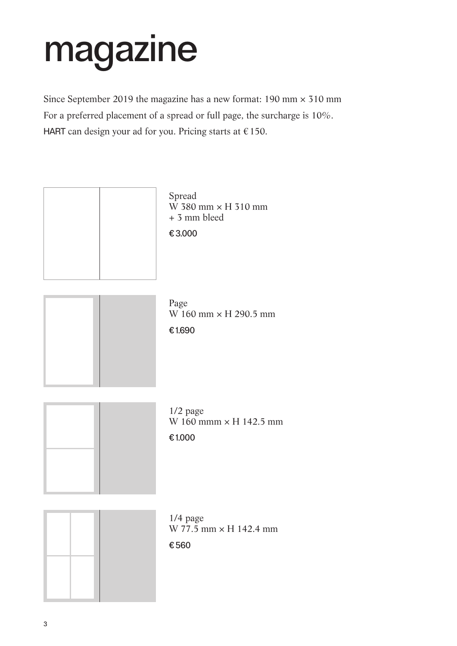# magazine

Since September 2019 the magazine has a new format:  $190 \text{ mm} \times 310 \text{ mm}$ For a preferred placement of a spread or full page, the surcharge is 10%. HART can design your ad for you. Pricing starts at  $\epsilon$  150.

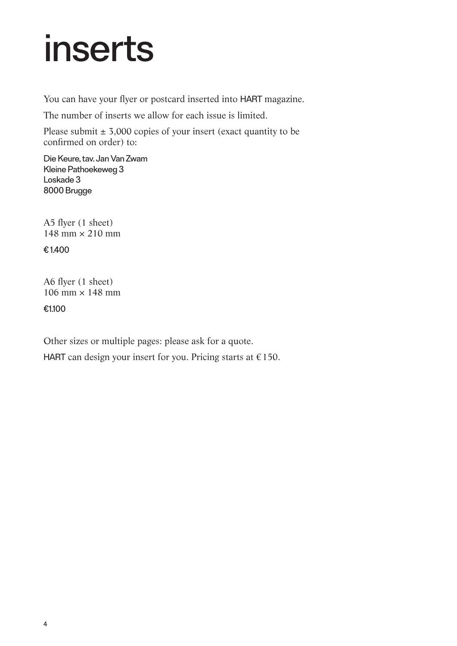## inserts

You can have your flyer or postcard inserted into HART magazine.

The number of inserts we allow for each issue is limited.

Please submit  $\pm$  3,000 copies of your insert (exact quantity to be confirmed on order) to:

Die Keure, tav. Jan Van Zwam Kleine Pathoekeweg 3 Loskade 3 8000 Brugge

A5 flyer (1 sheet) 148 mm × 210 mm

€ 1.400

A6 flyer (1 sheet)  $106$  mm  $\times$  148 mm

€1.100

Other sizes or multiple pages: please ask for a quote.

HART can design your insert for you. Pricing starts at  $\epsilon$  150.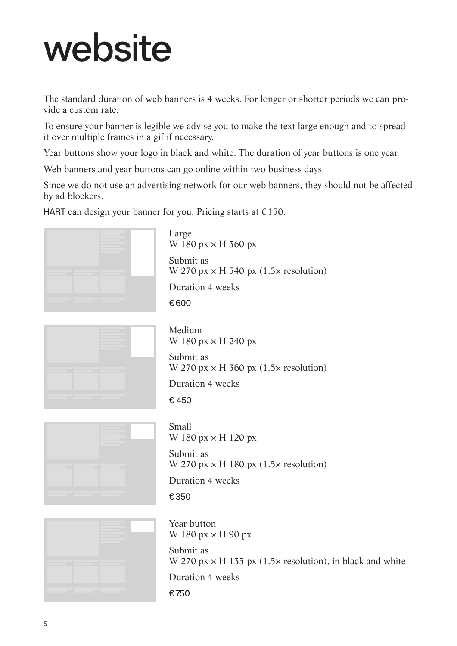# website

The standard duration of web banners is 4 weeks. For longer or shorter periods we can provide a custom rate.

To ensure your banner is legible we advise you to make the text large enough and to spread it over multiple frames in a gif if necessary.

Year buttons show your logo in black and white. The duration of year buttons is one year.

Web banners and year buttons can go online within two business days.

Since we do not use an advertising network for our web banners, they should not be affected by ad blockers.

HART can design your banner for you. Pricing starts at  $\epsilon$  150.



Large W 180 px × H 360 px Submit as W 270  $px \times H$  540  $px$  (1.5 $\times$  resolution) Duration 4 weeks € 600



Medium W 180 px × H 240 px Submit as W 270 px  $\times$  H 360 px (1.5 $\times$  resolution) Duration 4 weeks € 450



Small W 180 px  $\times$  H 120 px Submit as W 270  $px \times H$  180  $px$  (1.5 $\times$  resolution) Duration 4 weeks

€ 350



Year button W 180  $px \times H$  90  $px$ Submit as W 270  $px \times H$  135  $px$  (1.5 $\times$  resolution), in black and white Duration 4 weeks

€ 750